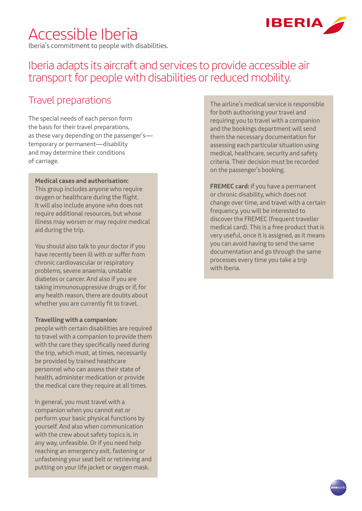# Accessible Iberia

Iberia's commitment to people with disabilities.



# Iberia adapts its aircraft and services to provide accessible air transport for people with disabilities or reduced mobility.

### Travel preparations

The special needs of each person form the basis for their travel preparations, as these vary depending on the passenger's temporary or permanent—disability and may determine their conditions of carriage.

#### **Medical cases and authorisation:**

This group includes anyone who require oxygen or healthcare during the flight. It will also include anyone who does not require additional resources, but whose illness may worsen or may require medical aid during the trip.

You should also talk to your doctor if you have recently been ill with or suffer from chronic cardiovascular or respiratory problems, severe anaemia, unstable diabetes or cancer. And also if you are taking immunosuppressive drugs or if, for any health reason, there are doubts about whether you are currently fit to travel.

#### **Travelling with a companion:**

people with certain disabilities are required to travel with a companion to provide them with the care they specifically need during the trip, which must, at times, necessarily be provided by trained healthcare personnel who can assess their state of health, administer medication or provide the medical care they require at all times.

In general, you must travel with a companion when you cannot eat or perform your basic physical functions by yourself. And also when communication with the crew about safety topics is, in any way, unfeasible. Or if you need help reaching an emergency exit, fastening or unfastening your seat belt or retrieving and putting on your life jacket or oxygen mask.

The airline's medical service is responsible for both authorising your travel and requiring you to travel with a companion and the bookings department will send them the necessary documentation for assessing each particular situation using medical, healthcare, security and safety criteria. Their decision must be recorded on the passenger's booking.

**FREMEC card:** if you have a permanent or chronic disability, which does not change over time, and travel with a certain frequency, you will be interested to discover the FREMEC (frequent traveller medical card). This is a free product that is very useful, once it is assigned, as it means you can avoid having to send the same documentation and go through the same processes every time you take a trip with Iberia.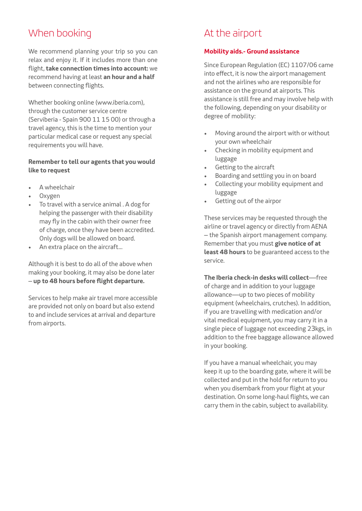# When booking

We recommend planning your trip so you can relax and enjoy it. If it includes more than one flight, **take connection times into account:** we recommend having at least **an hour and a half**  between connecting flights.

Whether booking online (www.iberia.com), through the customer service centre (Serviberia - Spain 900 11 15 00) or through a travel agency, this is the time to mention your particular medical case or request any special requirements you will have.

### **Remember to tell our agents that you would like to request**

- A wheelchair
- Oxygen
- To travel with a service animal . A dog for helping the passenger with their disability may fly in the cabin with their owner free of charge, once they have been accredited. Only dogs will be allowed on board.
- An extra place on the aircraft…

Although it is best to do all of the above when making your booking, it may also be done later – **up to 48 hours before flight departure.**

Services to help make air travel more accessible are provided not only on board but also extend to and include services at arrival and departure from airports.

# At the airport

### **Mobility aids.- Ground assistance**

Since European Regulation (EC) 1107/06 came into effect, it is now the airport management and not the airlines who are responsible for assistance on the ground at airports. This assistance is still free and may involve help with the following, depending on your disability or degree of mobility:

- Moving around the airport with or without your own wheelchair
- Checking in mobility equipment and luggage
- Getting to the aircraft
- Boarding and settling you in on board
- Collecting your mobility equipment and luggage
- Getting out of the airpor

These services may be requested through the airline or travel agency or directly from AENA – the Spanish airport management company. Remember that you must **give notice of at least 48 hours** to be guaranteed access to the service.

**The Iberia check-in desks will collect**—free of charge and in addition to your luggage allowance—up to two pieces of mobility equipment (wheelchairs, crutches). In addition, if you are travelling with medication and/or vital medical equipment, you may carry it in a single piece of luggage not exceeding 23kgs, in addition to the free baggage allowance allowed in your booking.

If you have a manual wheelchair, you may keep it up to the boarding gate, where it will be collected and put in the hold for return to you when you disembark from your flight at your destination. On some long-haul flights, we can carry them in the cabin, subject to availability.